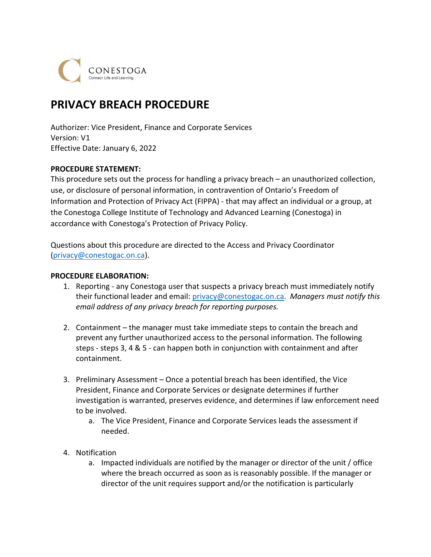CONESTOGA

# PRIVACY BREACH PROCEDURE

 Authorizer: Vice President, Finance and Corporate Services Version: V1 Effective Date: January 6, 2022

# PROCEDURE STATEMENT:

 This procedure sets out the process for handling a privacy breach – an unauthorized collection, use, or disclosure of personal information, in contravention of Ontario's Freedom of Information and Protection of Privacy Act (FIPPA) - that may affect an individual or a group, at the Conestoga College Institute of Technology and Advanced Learning (Conestoga) in accordance with Conestoga's Protection of Privacy Policy.

 Questions about this procedure are directed to the Access and Privacy Coordinator ([privacy@conestogac.on.ca\)](mailto:privacy@conestogac.on.ca).

## PROCEDURE ELABORATION:

- 1. Reporting any Conestoga user that suspects a privacy breach must immediately notify their functional leader and email: [privacy@conestogac.on.ca.](mailto:privacy@conestogac.on.ca) Managers must notify this email address of any privacy breach for reporting purposes.
- 2. Containment the manager must take immediate steps to contain the breach and prevent any further unauthorized access to the personal information. The following steps - steps 3, 4 & 5 - can happen both in conjunction with containment and after containment.
- 3. Preliminary Assessment Once a potential breach has been identified, the Vice President, Finance and Corporate Services or designate determines if further investigation is warranted, preserves evidence, and determines if law enforcement need to be involved.
	- a. The Vice President, Finance and Corporate Services leads the assessment if needed.
- 4. Notification
	- a. Impacted individuals are notified by the manager or director of the unit / office where the breach occurred as soon as is reasonably possible. If the manager or director of the unit requires support and/or the notification is particularly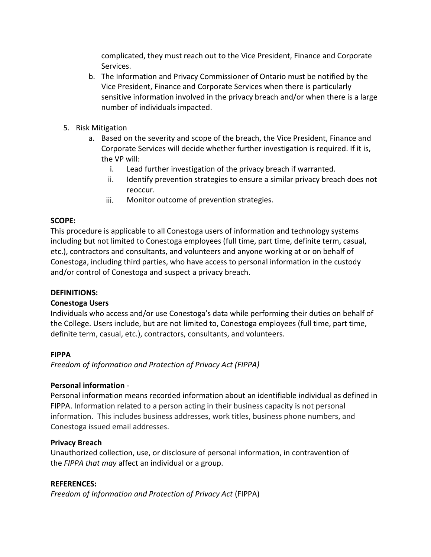complicated, they must reach out to the Vice President, Finance and Corporate Services.

- b. The Information and Privacy Commissioner of Ontario must be notified by the Vice President, Finance and Corporate Services when there is particularly sensitive information involved in the privacy breach and/or when there is a large number of individuals impacted.
- 5. Risk Mitigation
	- a. Based on the severity and scope of the breach, the Vice President, Finance and Corporate Services will decide whether further investigation is required. If it is, the VP will:
		- Lead further investigation of the privacy breach if warranted. i.
		- Identify prevention strategies to ensure a similar privacy breach does not ii. reoccur.
		- Monitor outcome of prevention strategies. iii.

# SCOPE:

 This procedure is applicable to all Conestoga users of information and technology systems including but not limited to Conestoga employees (full time, part time, definite term, casual, etc.), contractors and consultants, and volunteers and anyone working at or on behalf of Conestoga, including third parties, who have access to personal information in the custody and/or control of Conestoga and suspect a privacy breach.

## DEFINITIONS:

# Conestoga Users

 Individuals who access and/or use Conestoga's data while performing their duties on behalf of the College. Users include, but are not limited to, Conestoga employees (full time, part time, definite term, casual, etc.), contractors, consultants, and volunteers.

# FIPPA

Freedom of Information and Protection of Privacy Act (FIPPA)

## Personal information -

 Personal information means recorded information about an identifiable individual as defined in FIPPA. Information related to a person acting in their business capacity is not personal information. This includes business addresses, work titles, business phone numbers, and Conestoga issued email addresses.

## Privacy Breach

 Unauthorized collection, use, or disclosure of personal information, in contravention of the FIPPA that may affect an individual or a group.

### REFERENCES:

Freedom of Information and Protection of Privacy Act (FIPPA)